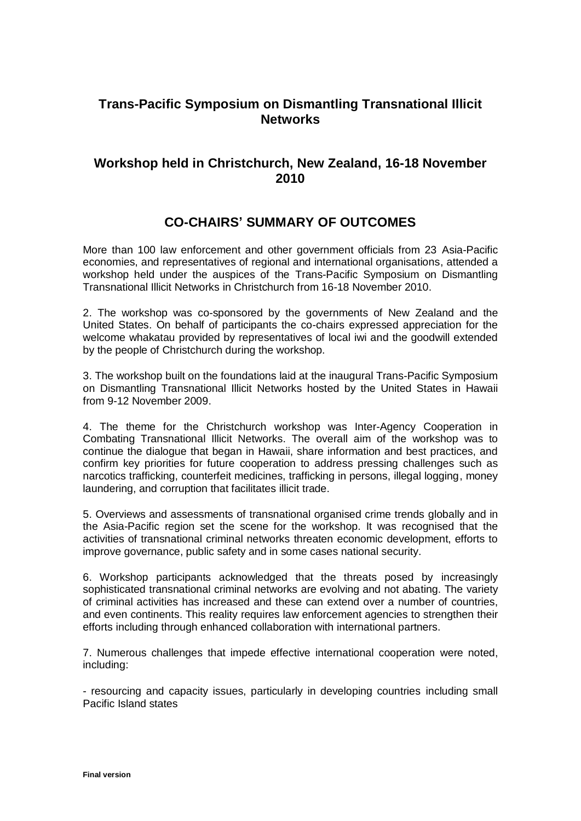## **Trans-Pacific Symposium on Dismantling Transnational Illicit Networks**

## **Workshop held in Christchurch, New Zealand, 16-18 November 2010**

## **CO-CHAIRS' SUMMARY OF OUTCOMES**

More than 100 law enforcement and other government officials from 23 Asia-Pacific economies, and representatives of regional and international organisations, attended a workshop held under the auspices of the Trans-Pacific Symposium on Dismantling Transnational Illicit Networks in Christchurch from 16-18 November 2010.

2. The workshop was co-sponsored by the governments of New Zealand and the United States. On behalf of participants the co-chairs expressed appreciation for the welcome whakatau provided by representatives of local iwi and the goodwill extended by the people of Christchurch during the workshop.

3. The workshop built on the foundations laid at the inaugural Trans-Pacific Symposium on Dismantling Transnational Illicit Networks hosted by the United States in Hawaii from 9-12 November 2009.

4. The theme for the Christchurch workshop was Inter-Agency Cooperation in Combating Transnational Illicit Networks. The overall aim of the workshop was to continue the dialogue that began in Hawaii, share information and best practices, and confirm key priorities for future cooperation to address pressing challenges such as narcotics trafficking, counterfeit medicines, trafficking in persons, illegal logging, money laundering, and corruption that facilitates illicit trade.

5. Overviews and assessments of transnational organised crime trends globally and in the Asia-Pacific region set the scene for the workshop. It was recognised that the activities of transnational criminal networks threaten economic development, efforts to improve governance, public safety and in some cases national security.

6. Workshop participants acknowledged that the threats posed by increasingly sophisticated transnational criminal networks are evolving and not abating. The variety of criminal activities has increased and these can extend over a number of countries, and even continents. This reality requires law enforcement agencies to strengthen their efforts including through enhanced collaboration with international partners.

7. Numerous challenges that impede effective international cooperation were noted, including:

- resourcing and capacity issues, particularly in developing countries including small Pacific Island states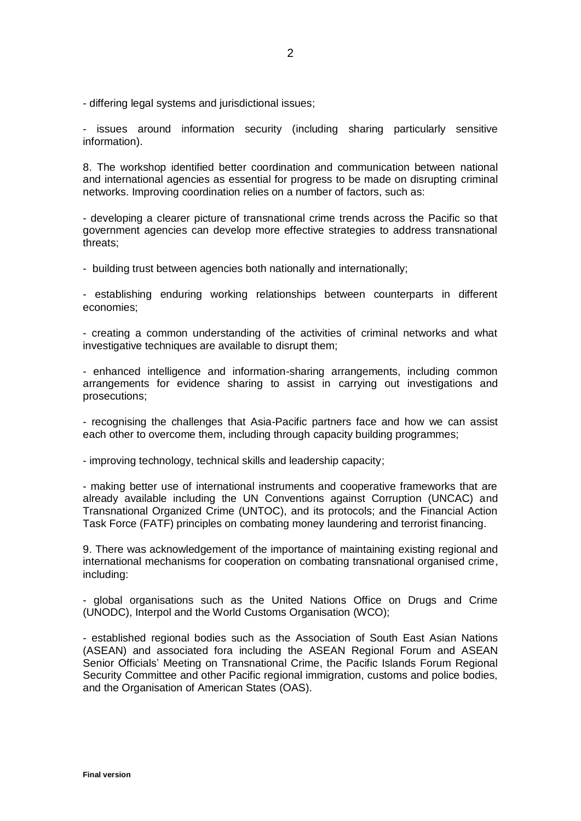- differing legal systems and jurisdictional issues;

- issues around information security (including sharing particularly sensitive information).

8. The workshop identified better coordination and communication between national and international agencies as essential for progress to be made on disrupting criminal networks. Improving coordination relies on a number of factors, such as:

- developing a clearer picture of transnational crime trends across the Pacific so that government agencies can develop more effective strategies to address transnational threats;

- building trust between agencies both nationally and internationally;

- establishing enduring working relationships between counterparts in different economies;

- creating a common understanding of the activities of criminal networks and what investigative techniques are available to disrupt them;

- enhanced intelligence and information-sharing arrangements, including common arrangements for evidence sharing to assist in carrying out investigations and prosecutions;

- recognising the challenges that Asia-Pacific partners face and how we can assist each other to overcome them, including through capacity building programmes;

- improving technology, technical skills and leadership capacity;

- making better use of international instruments and cooperative frameworks that are already available including the UN Conventions against Corruption (UNCAC) and Transnational Organized Crime (UNTOC), and its protocols; and the Financial Action Task Force (FATF) principles on combating money laundering and terrorist financing.

9. There was acknowledgement of the importance of maintaining existing regional and international mechanisms for cooperation on combating transnational organised crime, including:

- global organisations such as the United Nations Office on Drugs and Crime (UNODC), Interpol and the World Customs Organisation (WCO);

- established regional bodies such as the Association of South East Asian Nations (ASEAN) and associated fora including the ASEAN Regional Forum and ASEAN Senior Officials' Meeting on Transnational Crime, the Pacific Islands Forum Regional Security Committee and other Pacific regional immigration, customs and police bodies, and the Organisation of American States (OAS).